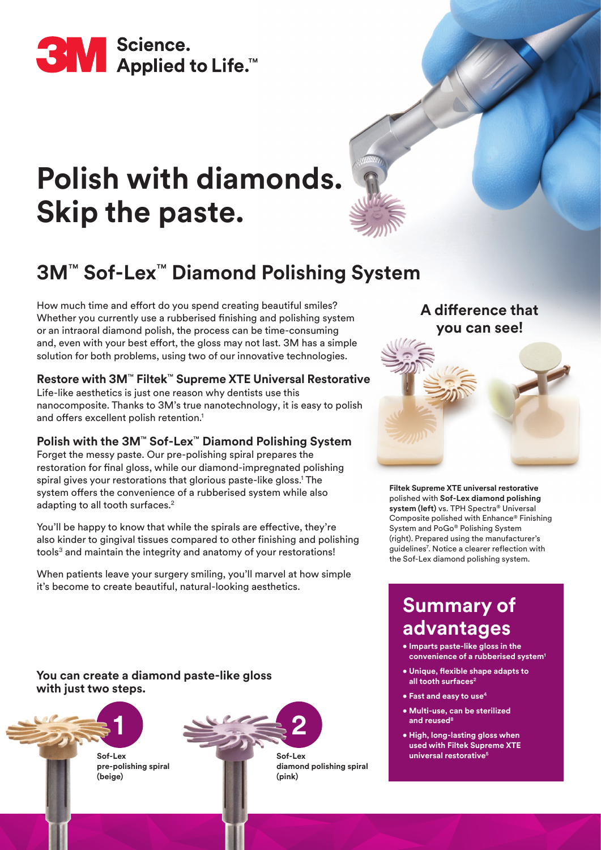

# **Polish with diamonds. Skip the paste.**



## **3M**™ **Sof-Lex**™ **Diamond Polishing System**

How much time and effort do you spend creating beautiful smiles? Whether you currently use a rubberised finishing and polishing system or an intraoral diamond polish, the process can be time-consuming and, even with your best effort, the gloss may not last. 3M has a simple solution for both problems, using two of our innovative technologies.

#### **Restore with 3M**™ **Filtek**™ **Supreme XTE Universal Restorative**

Life-like aesthetics is just one reason why dentists use this nanocomposite. Thanks to 3M's true nanotechnology, it is easy to polish and offers excellent polish retention.<sup>1</sup>

#### **Polish with the 3M**™ **Sof-Lex**™ **Diamond Polishing System**

Forget the messy paste. Our pre-polishing spiral prepares the restoration for final gloss, while our diamond-impregnated polishing spiral gives your restorations that glorious paste-like gloss.<sup>1</sup> The system offers the convenience of a rubberised system while also adapting to all tooth surfaces.<sup>2</sup>

You'll be happy to know that while the spirals are effective, they're also kinder to gingival tissues compared to other finishing and polishing tools<sup>3</sup> and maintain the integrity and anatomy of your restorations!

When patients leave your surgery smiling, you'll marvel at how simple it's become to create beautiful, natural-looking aesthetics.

### **A difference that you can see!**



**Filtek Supreme XTE universal restorative** polished with **Sof-Lex diamond polishing system (left)** vs. TPH Spectra® Universal Composite polished with Enhance® Finishing System and PoGo® Polishing System (right). Prepared using the manufacturer's guidelines<sup>7</sup> . Notice a clearer reflection with the Sof-Lex diamond polishing system.

### **Summary of advantages**

- **Imparts paste-like gloss in the convenience of a rubberised system<sup>1</sup>**
- **Unique, flexible shape adapts to all tooth surfaces<sup>2</sup>**
- **Fast and easy to use4**
- **Multi-use, can be sterilized and reused8**
- **High, long-lasting gloss when used with Filtek Supreme XTE universal restorative5**

**You can create a diamond paste-like gloss with just two steps.**